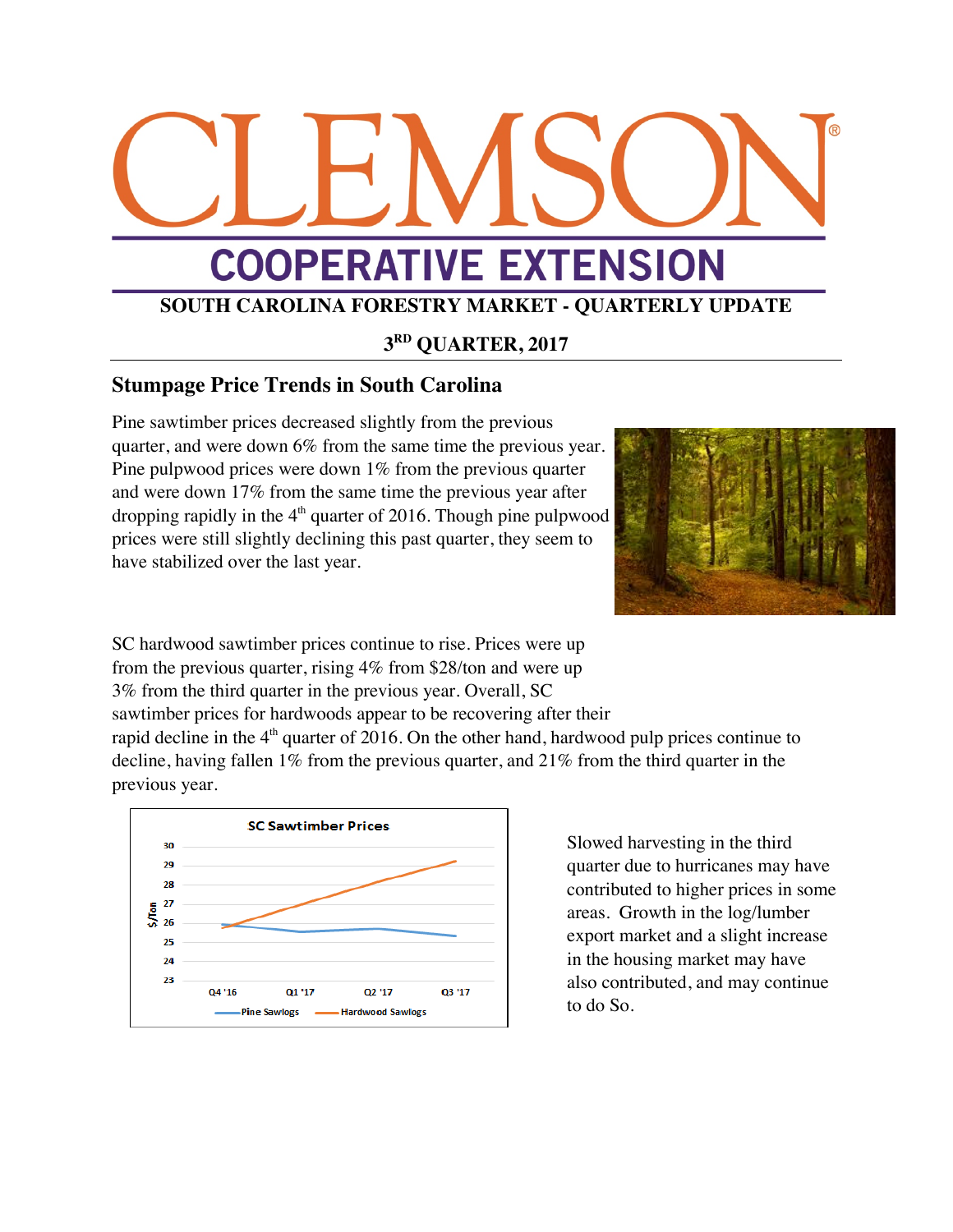# **COOPERATIVE EXTENSION**

# **SOUTH CAROLINA FORESTRY MARKET - QUARTERLY UPDATE**

## **3RD QUARTER, 2017**

### **Stumpage Price Trends in South Carolina**

Pine sawtimber prices decreased slightly from the previous quarter, and were down 6% from the same time the previous year. Pine pulpwood prices were down 1% from the previous quarter and were down 17% from the same time the previous year after dropping rapidly in the  $4<sup>th</sup>$  quarter of 2016. Though pine pulpwood prices were still slightly declining this past quarter, they seem to have stabilized over the last year.



SC hardwood sawtimber prices continue to rise. Prices were up from the previous quarter, rising 4% from \$28/ton and were up 3% from the third quarter in the previous year. Overall, SC sawtimber prices for hardwoods appear to be recovering after their

rapid decline in the  $4<sup>th</sup>$  quarter of 2016. On the other hand, hardwood pulp prices continue to decline, having fallen 1% from the previous quarter, and 21% from the third quarter in the previous year.



Slowed harvesting in the third quarter due to hurricanes may have contributed to higher prices in some areas. Growth in the log/lumber export market and a slight increase in the housing market may have also contributed, and may continue to do So.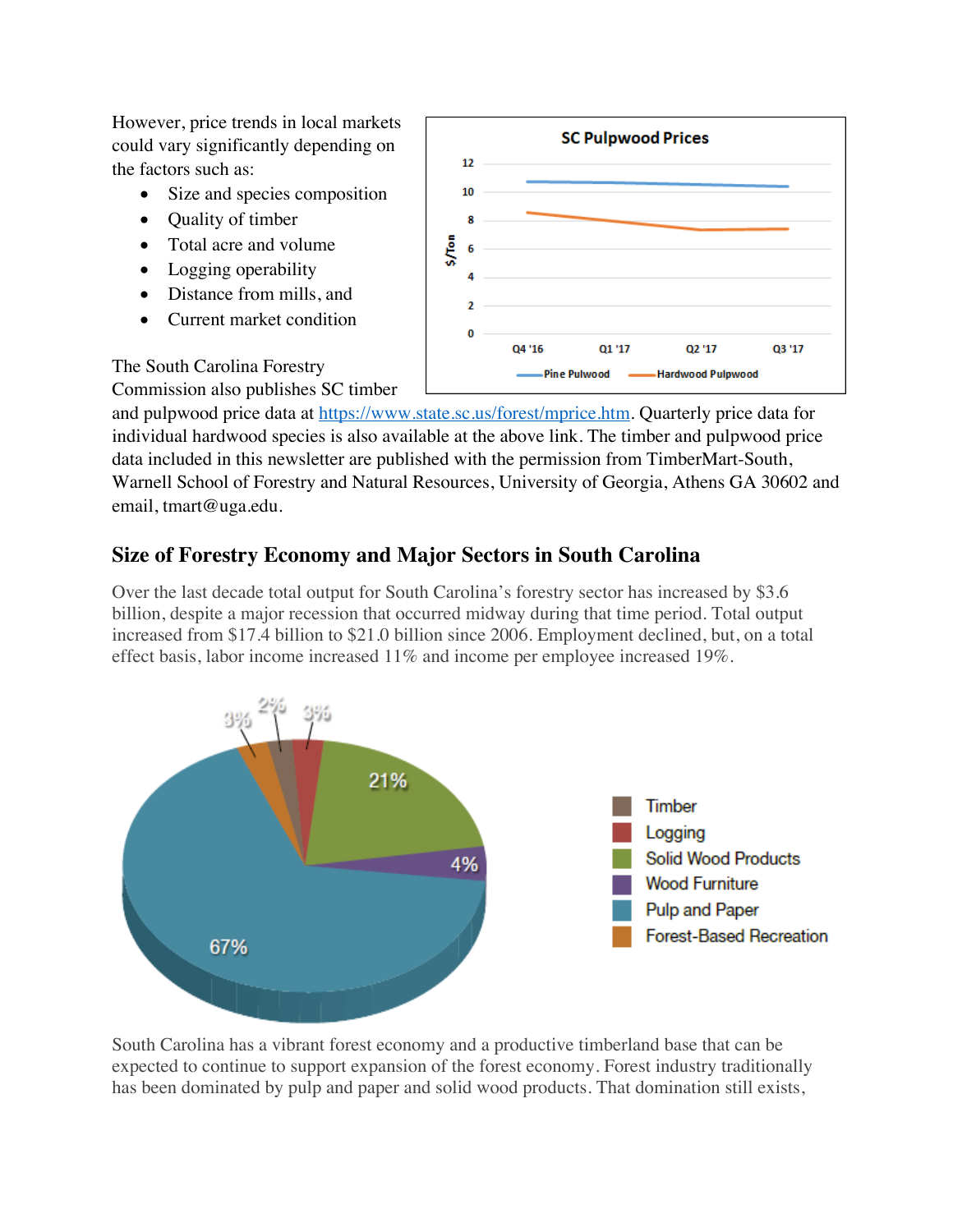However, price trends in local markets could vary significantly depending on the factors such as:

- Size and species composition
- Quality of timber
- Total acre and volume
- Logging operability
- Distance from mills, and
- Current market condition



The South Carolina Forestry Commission also publishes SC timber

and pulpwood price data at https://www.state.sc.us/forest/mprice.htm. Quarterly price data for individual hardwood species is also available at the above link. The timber and pulpwood price data included in this newsletter are published with the permission from TimberMart-South, Warnell School of Forestry and Natural Resources, University of Georgia, Athens GA 30602 and email, tmart@uga.edu.

### **Size of Forestry Economy and Major Sectors in South Carolina**

Over the last decade total output for South Carolina's forestry sector has increased by \$3.6 billion, despite a major recession that occurred midway during that time period. Total output increased from \$17.4 billion to \$21.0 billion since 2006. Employment declined, but, on a total effect basis, labor income increased 11% and income per employee increased 19%.



South Carolina has a vibrant forest economy and a productive timberland base that can be expected to continue to support expansion of the forest economy. Forest industry traditionally has been dominated by pulp and paper and solid wood products. That domination still exists,